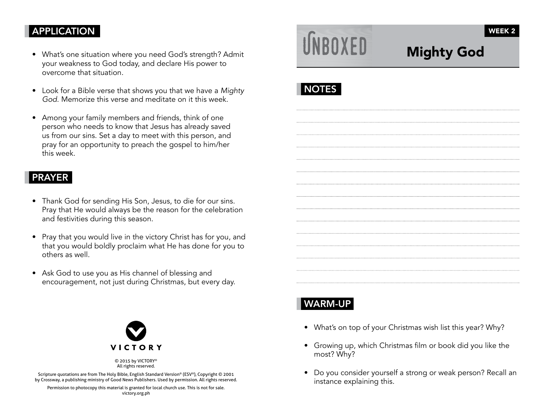## APPLICATION

- What's one situation where you need God's strength? Admit your weakness to God today, and declare His power to overcome that situation.
- Look for a Bible verse that shows you that we have a Mighty God. Memorize this verse and meditate on it this week.
- Among your family members and friends, think of one person who needs to know that Jesus has already saved us from our sins. Set a day to meet with this person, and pray for an opportunity to preach the gospel to him/her this week.

#### PRAYER

- Thank God for sending His Son, Jesus, to die for our sins. Pray that He would always be the reason for the celebration and festivities during this season.
- Pray that you would live in the victory Christ has for you, and that you would boldly proclaim what He has done for you to others as well.
- Ask God to use you as His channel of blessing and encouragement, not just during Christmas, but every day.



© 2015 by VICTORY® All rights reserved.

Scripture quotations are from The Holy Bible, English Standard Version® (ESV®), Copyright © 2001 by Crossway, a publishing ministry of Good News Publishers. Used by permission. All rights reserved.

Permission to photocopy this material is granted for local church use. This is not for sale. victory.org.ph

# INROXED

## Mighty God



## WARM-UP

- What's on top of your Christmas wish list this year? Why?
- Growing up, which Christmas film or book did you like the most? Why?
- Do you consider yourself a strong or weak person? Recall an instance explaining this.

WEEK 2